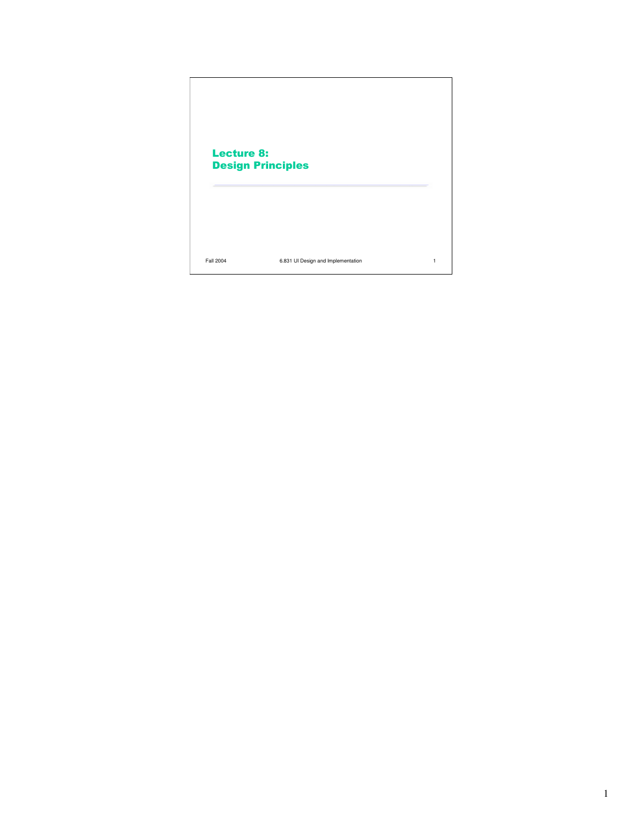## Lecture 8: Design Principles

Fall 2004 6.831 UI Design and Implementation 1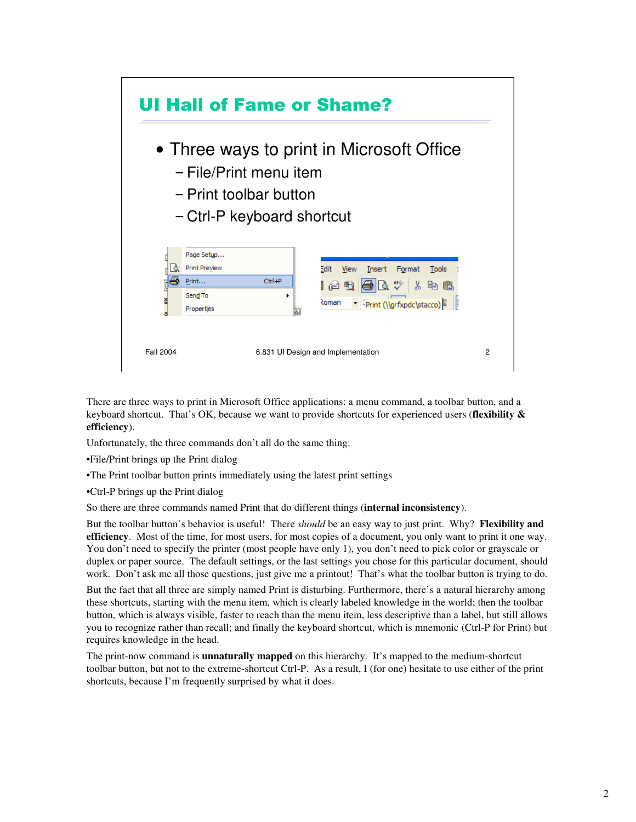

There are three ways to print in Microsoft Office applications: a menu command, a toolbar button, and a keyboard shortcut. That's OK, because we want to provide shortcuts for experienced users (**flexibility & efficiency**).

Unfortunately, the three commands don't all do the same thing:

•File/Print brings up the Print dialog

•The Print toolbar button prints immediately using the latest print settings

•Ctrl-P brings up the Print dialog

So there are three commands named Print that do different things (**internal inconsistency**).

But the toolbar button's behavior is useful! There *should* be an easy way to just print. Why? **Flexibility and efficiency**. Most of the time, for most users, for most copies of a document, you only want to print it one way. You don't need to specify the printer (most people have only 1), you don't need to pick color or grayscale or duplex or paper source. The default settings, or the last settings you chose for this particular document, should work. Don't ask me all those questions, just give me a printout! That's what the toolbar button is trying to do.

But the fact that all three are simply named Print is disturbing. Furthermore, there's a natural hierarchy among these shortcuts, starting with the menu item, which is clearly labeled knowledge in the world; then the toolbar button, which is always visible, faster to reach than the menu item, less descriptive than a label, but still allows you to recognize rather than recall; and finally the keyboard shortcut, which is mnemonic (Ctrl-P for Print) but requires knowledge in the head.

The print-now command is **unnaturally mapped** on this hierarchy. It's mapped to the medium-shortcut toolbar button, but not to the extreme-shortcut Ctrl-P. As a result, I (for one) hesitate to use either of the print shortcuts, because I'm frequently surprised by what it does.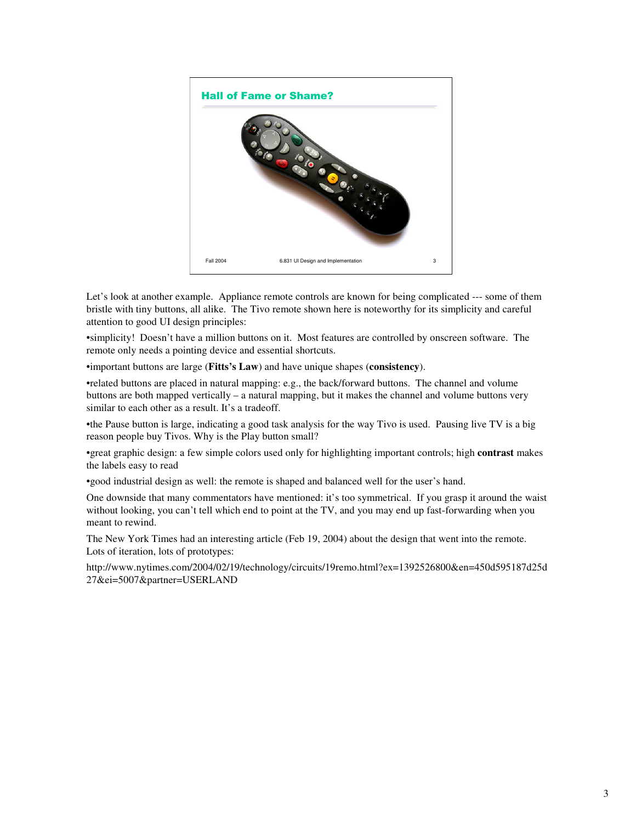

Let's look at another example. Appliance remote controls are known for being complicated --- some of them bristle with tiny buttons, all alike. The Tivo remote shown here is noteworthy for its simplicity and careful attention to good UI design principles:

•simplicity! Doesn't have a million buttons on it. Most features are controlled by onscreen software. The remote only needs a pointing device and essential shortcuts.

•important buttons are large (**Fitts's Law**) and have unique shapes (**consistency**).

•related buttons are placed in natural mapping: e.g., the back/forward buttons. The channel and volume buttons are both mapped vertically – a natural mapping, but it makes the channel and volume buttons very similar to each other as a result. It's a tradeoff.

•the Pause button is large, indicating a good task analysis for the way Tivo is used. Pausing live TV is a big reason people buy Tivos. Why is the Play button small?

•great graphic design: a few simple colors used only for highlighting important controls; high **contrast** makes the labels easy to read

•good industrial design as well: the remote is shaped and balanced well for the user's hand.

One downside that many commentators have mentioned: it's too symmetrical. If you grasp it around the waist without looking, you can't tell which end to point at the TV, and you may end up fast-forwarding when you meant to rewind.

The New York Times had an interesting article (Feb 19, 2004) about the design that went into the remote. Lots of iteration, lots of prototypes:

http://www.nytimes.com/2004/02/19/technology/circuits/19remo.html?ex=1392526800&en=450d595187d25d 27&ei=5007&partner=USERLAND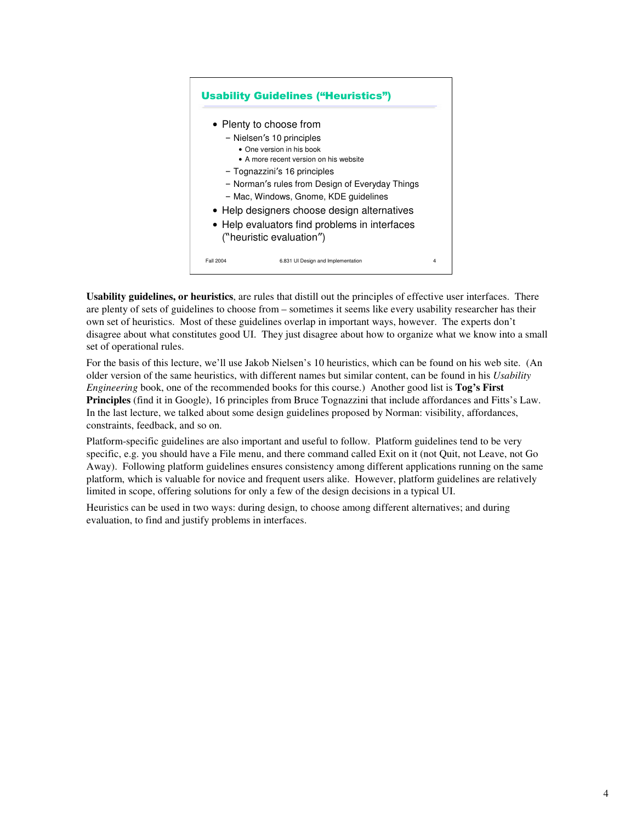

**Usability guidelines, or heuristics**, are rules that distill out the principles of effective user interfaces. There are plenty of sets of guidelines to choose from – sometimes it seems like every usability researcher has their own set of heuristics. Most of these guidelines overlap in important ways, however. The experts don't disagree about what constitutes good UI. They just disagree about how to organize what we know into a small set of operational rules.

For the basis of this lecture, we'll use Jakob Nielsen's 10 heuristics, which can be found on his web site. (An older version of the same heuristics, with different names but similar content, can be found in his *Usability Engineering* book, one of the recommended books for this course.) Another good list is **Tog's First Principles** (find it in Google), 16 principles from Bruce Tognazzini that include affordances and Fitts's Law. In the last lecture, we talked about some design guidelines proposed by Norman: visibility, affordances, constraints, feedback, and so on.

Platform-specific guidelines are also important and useful to follow. Platform guidelines tend to be very specific, e.g. you should have a File menu, and there command called Exit on it (not Quit, not Leave, not Go Away). Following platform guidelines ensures consistency among different applications running on the same platform, which is valuable for novice and frequent users alike. However, platform guidelines are relatively limited in scope, offering solutions for only a few of the design decisions in a typical UI.

Heuristics can be used in two ways: during design, to choose among different alternatives; and during evaluation, to find and justify problems in interfaces.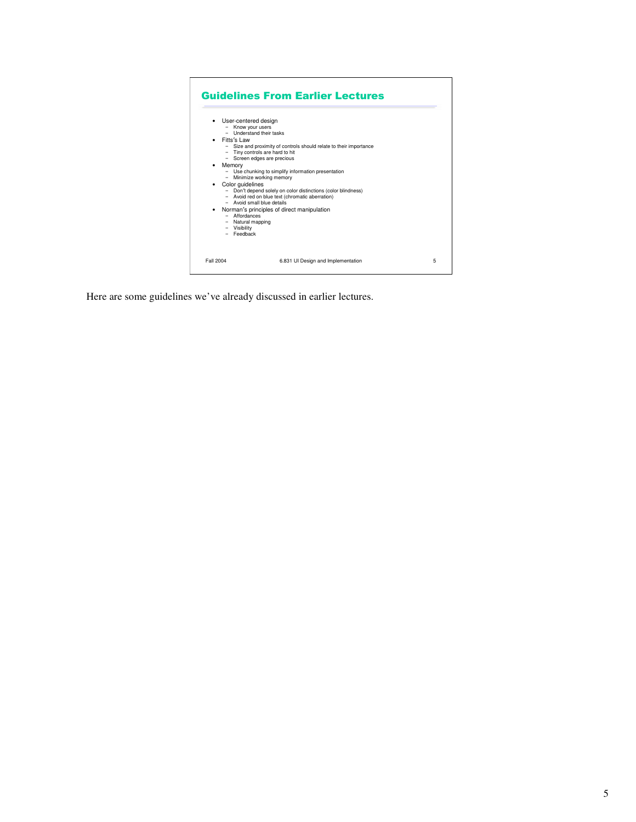

Here are some guidelines we've already discussed in earlier lectures.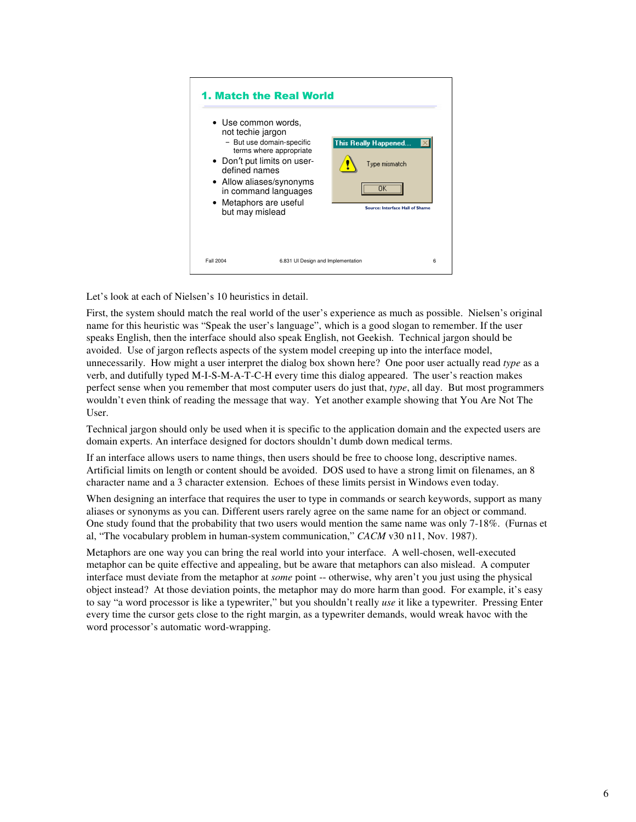

Let's look at each of Nielsen's 10 heuristics in detail.

First, the system should match the real world of the user's experience as much as possible. Nielsen's original name for this heuristic was "Speak the user's language", which is a good slogan to remember. If the user speaks English, then the interface should also speak English, not Geekish. Technical jargon should be avoided. Use of jargon reflects aspects of the system model creeping up into the interface model, unnecessarily. How might a user interpret the dialog box shown here? One poor user actually read *type* as a verb, and dutifully typed M-I-S-M-A-T-C-H every time this dialog appeared. The user's reaction makes perfect sense when you remember that most computer users do just that, *type*, all day. But most programmers wouldn't even think of reading the message that way. Yet another example showing that You Are Not The User.

Technical jargon should only be used when it is specific to the application domain and the expected users are domain experts. An interface designed for doctors shouldn't dumb down medical terms.

If an interface allows users to name things, then users should be free to choose long, descriptive names. Artificial limits on length or content should be avoided. DOS used to have a strong limit on filenames, an 8 character name and a 3 character extension. Echoes of these limits persist in Windows even today.

When designing an interface that requires the user to type in commands or search keywords, support as many aliases or synonyms as you can. Different users rarely agree on the same name for an object or command. One study found that the probability that two users would mention the same name was only 7-18%. (Furnas et al, "The vocabulary problem in human-system communication," *CACM* v30 n11, Nov. 1987).

Metaphors are one way you can bring the real world into your interface. A well-chosen, well-executed metaphor can be quite effective and appealing, but be aware that metaphors can also mislead. A computer interface must deviate from the metaphor at *some* point -- otherwise, why aren't you just using the physical object instead? At those deviation points, the metaphor may do more harm than good. For example, it's easy to say "a word processor is like a typewriter," but you shouldn't really *use* it like a typewriter. Pressing Enter every time the cursor gets close to the right margin, as a typewriter demands, would wreak havoc with the word processor's automatic word-wrapping.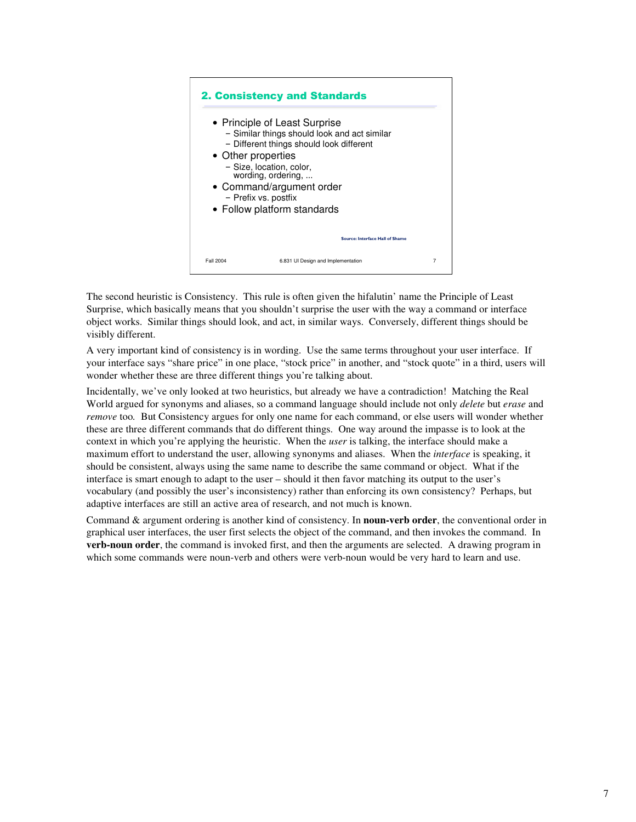

The second heuristic is Consistency. This rule is often given the hifalutin' name the Principle of Least Surprise, which basically means that you shouldn't surprise the user with the way a command or interface object works. Similar things should look, and act, in similar ways. Conversely, different things should be visibly different.

A very important kind of consistency is in wording. Use the same terms throughout your user interface. If your interface says "share price" in one place, "stock price" in another, and "stock quote" in a third, users will wonder whether these are three different things you're talking about.

Incidentally, we've only looked at two heuristics, but already we have a contradiction! Matching the Real World argued for synonyms and aliases, so a command language should include not only *delete* but *erase* and *remove* too*.* But Consistency argues for only one name for each command, or else users will wonder whether these are three different commands that do different things. One way around the impasse is to look at the context in which you're applying the heuristic. When the *user* is talking, the interface should make a maximum effort to understand the user, allowing synonyms and aliases. When the *interface* is speaking, it should be consistent, always using the same name to describe the same command or object. What if the interface is smart enough to adapt to the user – should it then favor matching its output to the user's vocabulary (and possibly the user's inconsistency) rather than enforcing its own consistency? Perhaps, but adaptive interfaces are still an active area of research, and not much is known.

Command & argument ordering is another kind of consistency. In **noun-verb order**, the conventional order in graphical user interfaces, the user first selects the object of the command, and then invokes the command. In **verb-noun order**, the command is invoked first, and then the arguments are selected. A drawing program in which some commands were noun-verb and others were verb-noun would be very hard to learn and use.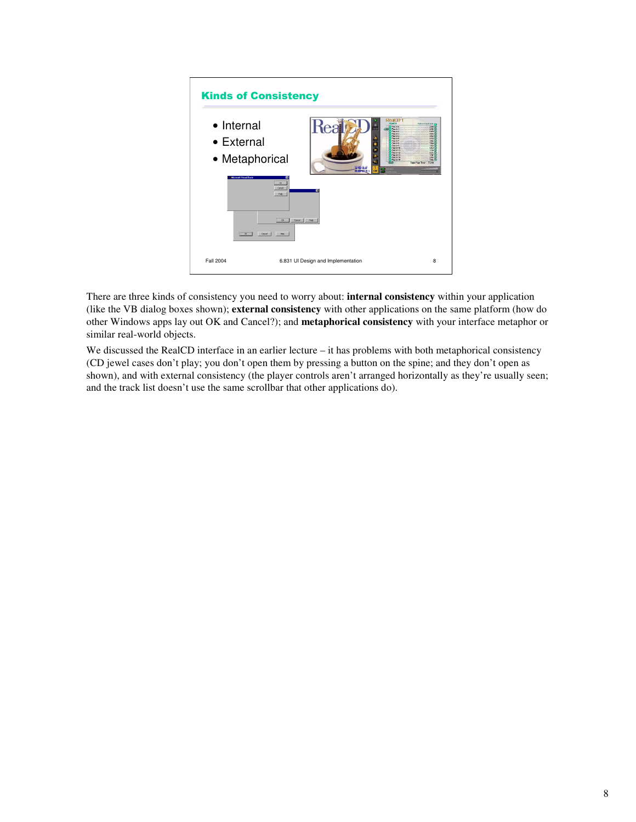

There are three kinds of consistency you need to worry about: **internal consistency** within your application (like the VB dialog boxes shown); **external consistency** with other applications on the same platform (how do other Windows apps lay out OK and Cancel?); and **metaphorical consistency** with your interface metaphor or similar real-world objects.

We discussed the RealCD interface in an earlier lecture – it has problems with both metaphorical consistency (CD jewel cases don't play; you don't open them by pressing a button on the spine; and they don't open as shown), and with external consistency (the player controls aren't arranged horizontally as they're usually seen; and the track list doesn't use the same scrollbar that other applications do).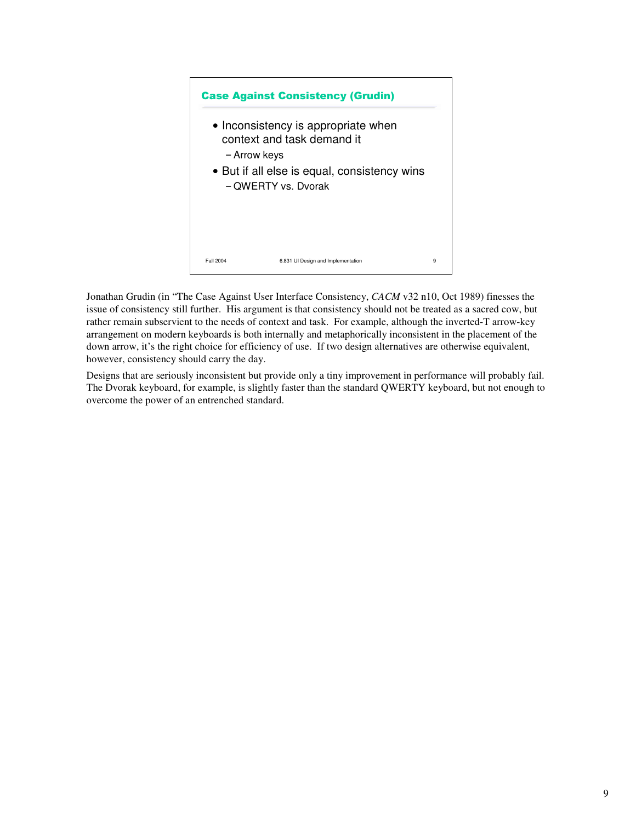

Jonathan Grudin (in "The Case Against User Interface Consistency, *CACM* v32 n10, Oct 1989) finesses the issue of consistency still further. His argument is that consistency should not be treated as a sacred cow, but rather remain subservient to the needs of context and task. For example, although the inverted-T arrow-key arrangement on modern keyboards is both internally and metaphorically inconsistent in the placement of the down arrow, it's the right choice for efficiency of use. If two design alternatives are otherwise equivalent, however, consistency should carry the day.

Designs that are seriously inconsistent but provide only a tiny improvement in performance will probably fail. The Dvorak keyboard, for example, is slightly faster than the standard QWERTY keyboard, but not enough to overcome the power of an entrenched standard.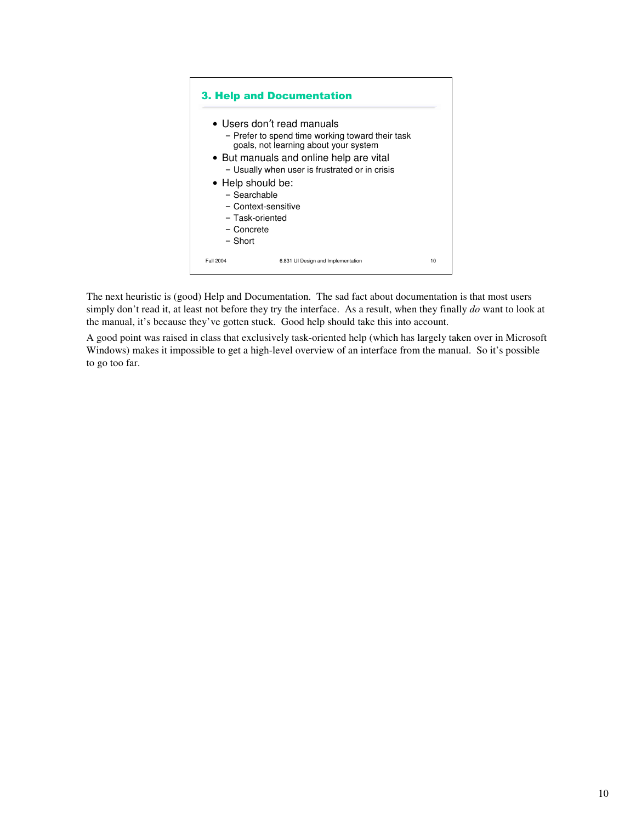

The next heuristic is (good) Help and Documentation. The sad fact about documentation is that most users simply don't read it, at least not before they try the interface. As a result, when they finally *do* want to look at the manual, it's because they've gotten stuck. Good help should take this into account.

A good point was raised in class that exclusively task-oriented help (which has largely taken over in Microsoft Windows) makes it impossible to get a high-level overview of an interface from the manual. So it's possible to go too far.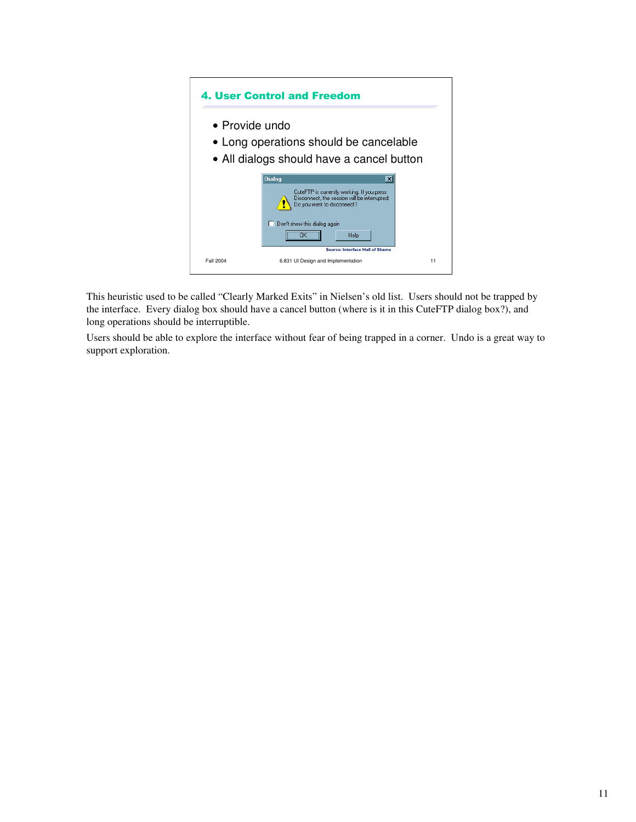## 4. User Control and Freedom • Provide undo • Long operations should be cancelable • All dialogs should have a cancel button **Dialog** ⊠ CuteFTP is currently working. If you press<br>Disconnect, the session will be interrupted.<br> $\bigcap_{n=1}^{\infty}$  Do you want to disconnect?  $\Box$  Don't show this dialog again  $\overline{X}$  $\ensuremath{\mathsf{Help}}\xspace$ rce: Interface Hall of Sha Fall 2004 6.831 UI Design and Implementation 11

This heuristic used to be called "Clearly Marked Exits" in Nielsen's old list. Users should not be trapped by the interface. Every dialog box should have a cancel button (where is it in this CuteFTP dialog box?), and long operations should be interruptible.

Users should be able to explore the interface without fear of being trapped in a corner. Undo is a great way to support exploration.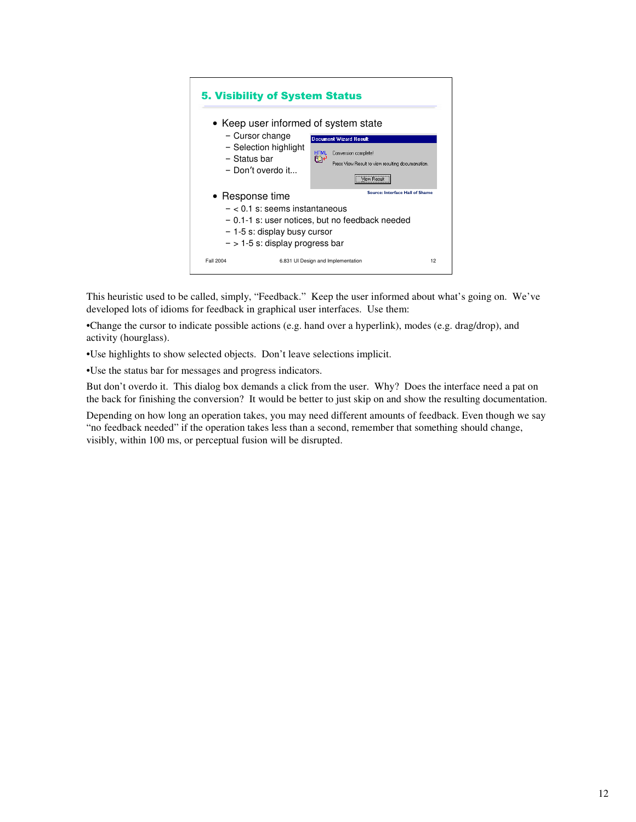

This heuristic used to be called, simply, "Feedback." Keep the user informed about what's going on. We've developed lots of idioms for feedback in graphical user interfaces. Use them:

•Change the cursor to indicate possible actions (e.g. hand over a hyperlink), modes (e.g. drag/drop), and activity (hourglass).

•Use highlights to show selected objects. Don't leave selections implicit.

•Use the status bar for messages and progress indicators.

But don't overdo it. This dialog box demands a click from the user. Why? Does the interface need a pat on the back for finishing the conversion? It would be better to just skip on and show the resulting documentation.

Depending on how long an operation takes, you may need different amounts of feedback. Even though we say "no feedback needed" if the operation takes less than a second, remember that something should change, visibly, within 100 ms, or perceptual fusion will be disrupted.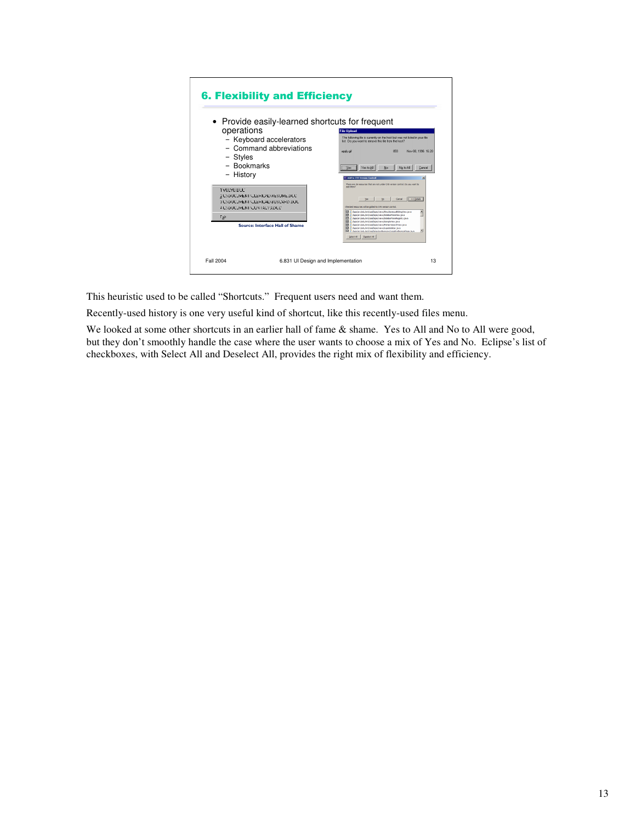| • Provide easily-learned shortcuts for frequent<br>operations<br>- Keyboard accelerators<br>- Command abbreviations<br>- Styles<br>- Bookmarks<br>- History<br>1 VALVA DAC<br>2 CADOCUMENTADLERICALARESUME.DCC<br>3 CADOCUMENTADLERICALABUSCARD.DOC<br>4 CADOCUMENTADONTACTS.DEC<br>Eat<br>Source: Interface Hall of Shame | <b>File Upload</b><br>The following file is currently on the host but was not listed in your file<br>list. Do you want to remove this file from the host?<br>859<br>Nov 08, 1996 16:20<br>apply, gift<br>Yes to All<br>No to All<br>No<br>Cancel<br>Add to CVS Version Control<br>$\vert x \vert$<br>There are 26 resources that are not under CVS version control. Do you want to<br>add them?<br>Cancel<br><< Detais<br>No<br>Yes<br>Checked resources will be added to CVS version control.<br>츠<br>D J /apis/src/edu/mt/csal.fapis/views/SinultaneousEditingview.tava<br><b>RI</b> D Applacedum trisal facis hiero/SidebarPanethew.lava<br>[7] [3] Applierc/edu/mt/csal facis/views/SidebarPaneRegistry.teva<br>1 J Apislarc/edulmiticsal.fapis/views/SampleView.tava<br>м<br>A Appliercledulmt/csal.facis/views/PatternSearchitew.java<br>FT D Appliercledu/mb/csal facis/views/LacisSdebar.cava<br>ы<br>R D. Anadar indulational Anadare ferenced analyse ference Page Java<br>Select All<br>Deselect All |
|----------------------------------------------------------------------------------------------------------------------------------------------------------------------------------------------------------------------------------------------------------------------------------------------------------------------------|-----------------------------------------------------------------------------------------------------------------------------------------------------------------------------------------------------------------------------------------------------------------------------------------------------------------------------------------------------------------------------------------------------------------------------------------------------------------------------------------------------------------------------------------------------------------------------------------------------------------------------------------------------------------------------------------------------------------------------------------------------------------------------------------------------------------------------------------------------------------------------------------------------------------------------------------------------------------------------------------------------------------|
|----------------------------------------------------------------------------------------------------------------------------------------------------------------------------------------------------------------------------------------------------------------------------------------------------------------------------|-----------------------------------------------------------------------------------------------------------------------------------------------------------------------------------------------------------------------------------------------------------------------------------------------------------------------------------------------------------------------------------------------------------------------------------------------------------------------------------------------------------------------------------------------------------------------------------------------------------------------------------------------------------------------------------------------------------------------------------------------------------------------------------------------------------------------------------------------------------------------------------------------------------------------------------------------------------------------------------------------------------------|

This heuristic used to be called "Shortcuts." Frequent users need and want them.

Recently-used history is one very useful kind of shortcut, like this recently-used files menu.

We looked at some other shortcuts in an earlier hall of fame & shame. Yes to All and No to All were good, but they don't smoothly handle the case where the user wants to choose a mix of Yes and No. Eclipse's list of checkboxes, with Select All and Deselect All, provides the right mix of flexibility and efficiency.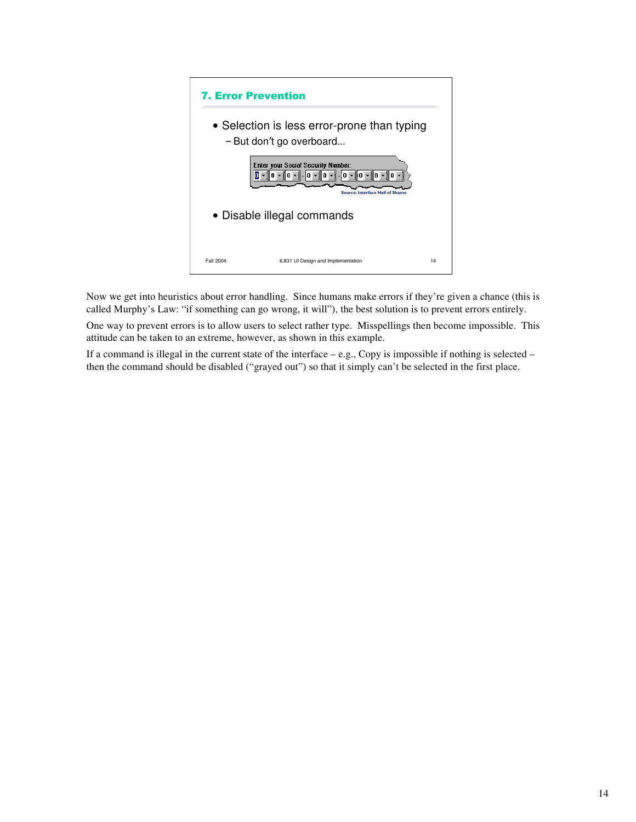

Now we get into heuristics about error handling. Since humans make errors if they're given a chance (this is called Murphy's Law: "if something can go wrong, it will"), the best solution is to prevent errors entirely.

One way to prevent errors is to allow users to select rather type. Misspellings then become impossible. This attitude can be taken to an extreme, however, as shown in this example.

If a command is illegal in the current state of the interface  $-$  e.g., Copy is impossible if nothing is selected  $$ then the command should be disabled ("grayed out") so that it simply can't be selected in the first place.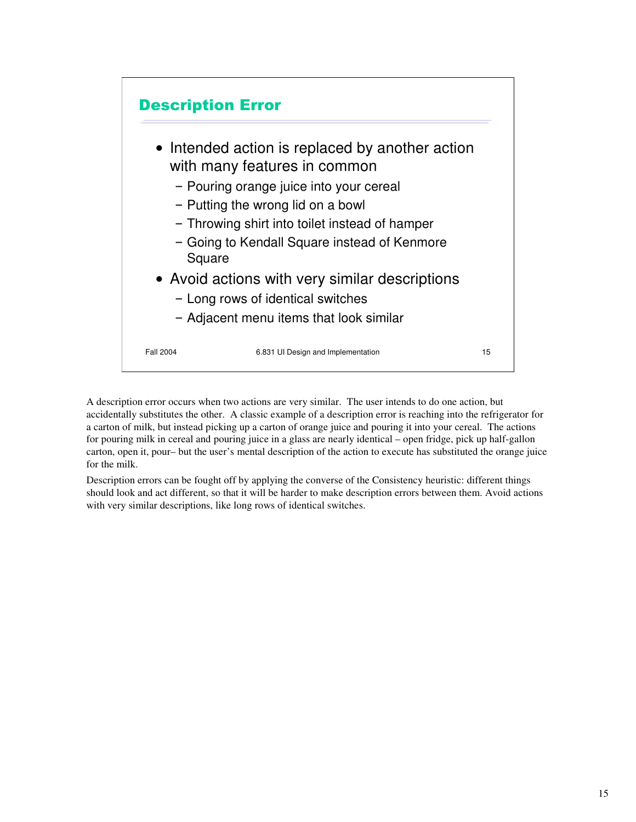

A description error occurs when two actions are very similar. The user intends to do one action, but accidentally substitutes the other. A classic example of a description error is reaching into the refrigerator for a carton of milk, but instead picking up a carton of orange juice and pouring it into your cereal. The actions for pouring milk in cereal and pouring juice in a glass are nearly identical – open fridge, pick up half-gallon carton, open it, pour– but the user's mental description of the action to execute has substituted the orange juice for the milk.

Description errors can be fought off by applying the converse of the Consistency heuristic: different things should look and act different, so that it will be harder to make description errors between them. Avoid actions with very similar descriptions, like long rows of identical switches.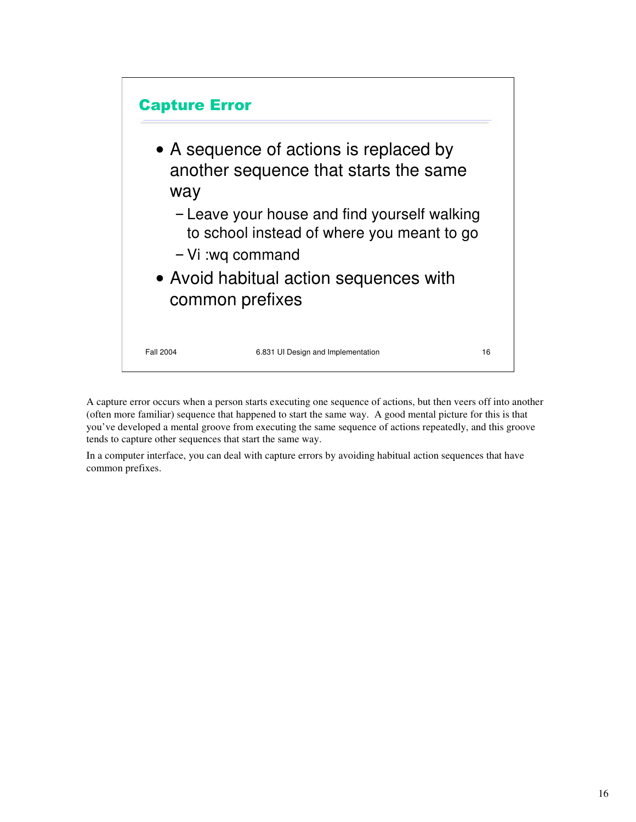

A capture error occurs when a person starts executing one sequence of actions, but then veers off into another (often more familiar) sequence that happened to start the same way. A good mental picture for this is that you've developed a mental groove from executing the same sequence of actions repeatedly, and this groove tends to capture other sequences that start the same way.

In a computer interface, you can deal with capture errors by avoiding habitual action sequences that have common prefixes.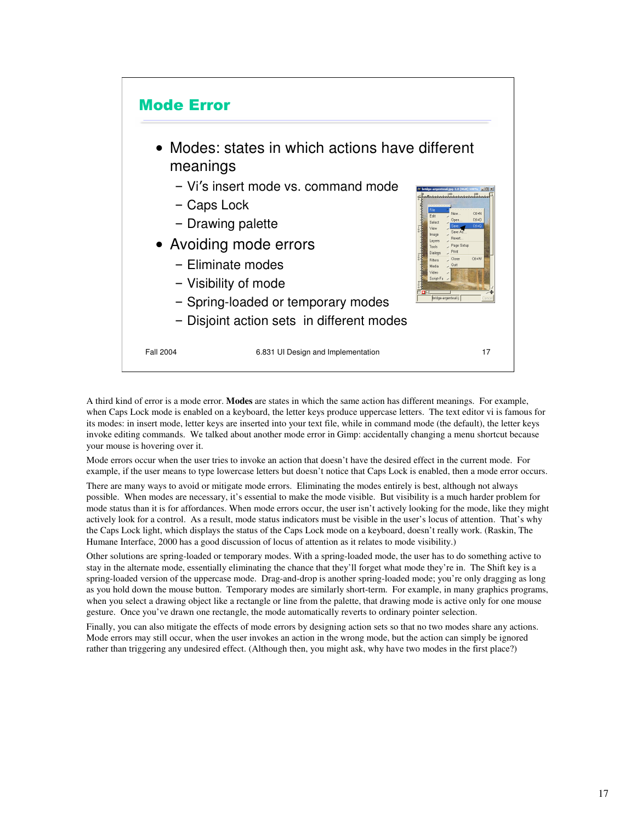

A third kind of error is a mode error. **Modes** are states in which the same action has different meanings. For example, when Caps Lock mode is enabled on a keyboard, the letter keys produce uppercase letters. The text editor vi is famous for its modes: in insert mode, letter keys are inserted into your text file, while in command mode (the default), the letter keys invoke editing commands. We talked about another mode error in Gimp: accidentally changing a menu shortcut because your mouse is hovering over it.

Mode errors occur when the user tries to invoke an action that doesn't have the desired effect in the current mode. For example, if the user means to type lowercase letters but doesn't notice that Caps Lock is enabled, then a mode error occurs.

There are many ways to avoid or mitigate mode errors. Eliminating the modes entirely is best, although not always possible. When modes are necessary, it's essential to make the mode visible. But visibility is a much harder problem for mode status than it is for affordances. When mode errors occur, the user isn't actively looking for the mode, like they might actively look for a control. As a result, mode status indicators must be visible in the user's locus of attention. That's why the Caps Lock light, which displays the status of the Caps Lock mode on a keyboard, doesn't really work. (Raskin, The Humane Interface, 2000 has a good discussion of locus of attention as it relates to mode visibility.)

Other solutions are spring-loaded or temporary modes. With a spring-loaded mode, the user has to do something active to stay in the alternate mode, essentially eliminating the chance that they'll forget what mode they're in. The Shift key is a spring-loaded version of the uppercase mode. Drag-and-drop is another spring-loaded mode; you're only dragging as long as you hold down the mouse button. Temporary modes are similarly short-term. For example, in many graphics programs, when you select a drawing object like a rectangle or line from the palette, that drawing mode is active only for one mouse gesture. Once you've drawn one rectangle, the mode automatically reverts to ordinary pointer selection.

Finally, you can also mitigate the effects of mode errors by designing action sets so that no two modes share any actions. Mode errors may still occur, when the user invokes an action in the wrong mode, but the action can simply be ignored rather than triggering any undesired effect. (Although then, you might ask, why have two modes in the first place?)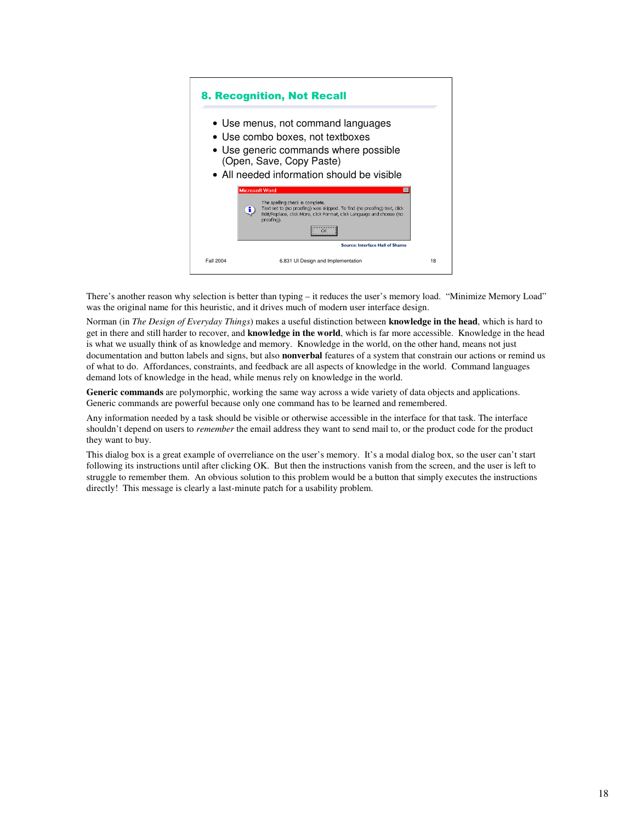## 8. Recognition, Not Recall

- Use menus, not command languages
- Use combo boxes, not textboxes
- Use generic commands where possible (Open, Save, Copy Paste)
- All needed information should be visible

|           | Microsoft Word                                                                                                                                                                                           |    |
|-----------|----------------------------------------------------------------------------------------------------------------------------------------------------------------------------------------------------------|----|
|           | The spelling check is complete.<br>Text set to (no proofing) was skipped. To find (no proofing) text, click<br>ī.<br>Edit/Replace, click More, click Format, click Language and choose (no<br>proofing). |    |
|           | ------------------<br>                                                                                                                                                                                   |    |
|           | Source: Interface Hall of Shame                                                                                                                                                                          |    |
| Fall 2004 | 6.831 UI Design and Implementation                                                                                                                                                                       | 18 |

There's another reason why selection is better than typing – it reduces the user's memory load. "Minimize Memory Load" was the original name for this heuristic, and it drives much of modern user interface design.

Norman (in *The Design of Everyday Things*) makes a useful distinction between **knowledge in the head**, which is hard to get in there and still harder to recover, and **knowledge in the world**, which is far more accessible. Knowledge in the head is what we usually think of as knowledge and memory. Knowledge in the world, on the other hand, means not just documentation and button labels and signs, but also **nonverbal** features of a system that constrain our actions or remind us of what to do. Affordances, constraints, and feedback are all aspects of knowledge in the world. Command languages demand lots of knowledge in the head, while menus rely on knowledge in the world.

**Generic commands** are polymorphic, working the same way across a wide variety of data objects and applications. Generic commands are powerful because only one command has to be learned and remembered.

Any information needed by a task should be visible or otherwise accessible in the interface for that task. The interface shouldn't depend on users to *remember* the email address they want to send mail to, or the product code for the product they want to buy.

This dialog box is a great example of overreliance on the user's memory. It's a modal dialog box, so the user can't start following its instructions until after clicking OK. But then the instructions vanish from the screen, and the user is left to struggle to remember them. An obvious solution to this problem would be a button that simply executes the instructions directly! This message is clearly a last-minute patch for a usability problem.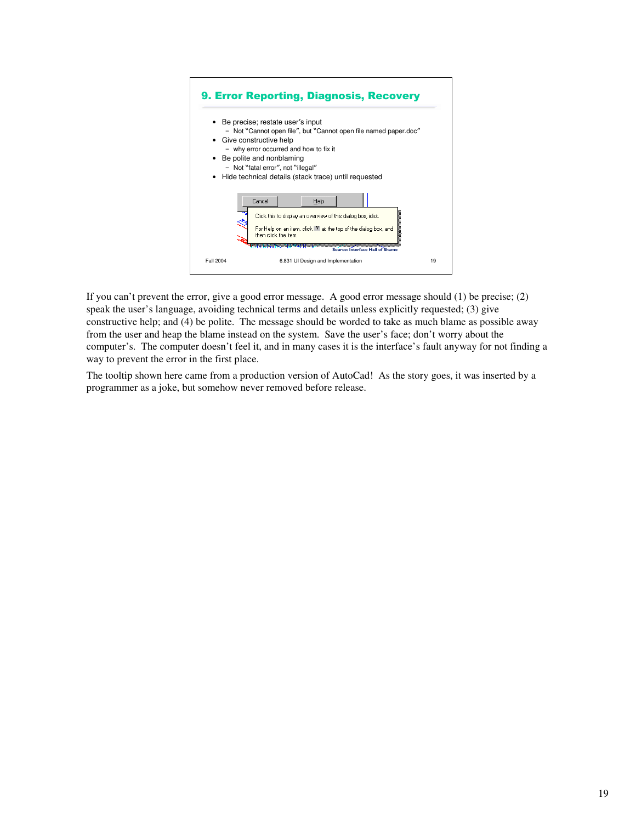

If you can't prevent the error, give a good error message. A good error message should (1) be precise; (2) speak the user's language, avoiding technical terms and details unless explicitly requested; (3) give constructive help; and (4) be polite. The message should be worded to take as much blame as possible away from the user and heap the blame instead on the system. Save the user's face; don't worry about the computer's. The computer doesn't feel it, and in many cases it is the interface's fault anyway for not finding a way to prevent the error in the first place.

The tooltip shown here came from a production version of AutoCad! As the story goes, it was inserted by a programmer as a joke, but somehow never removed before release.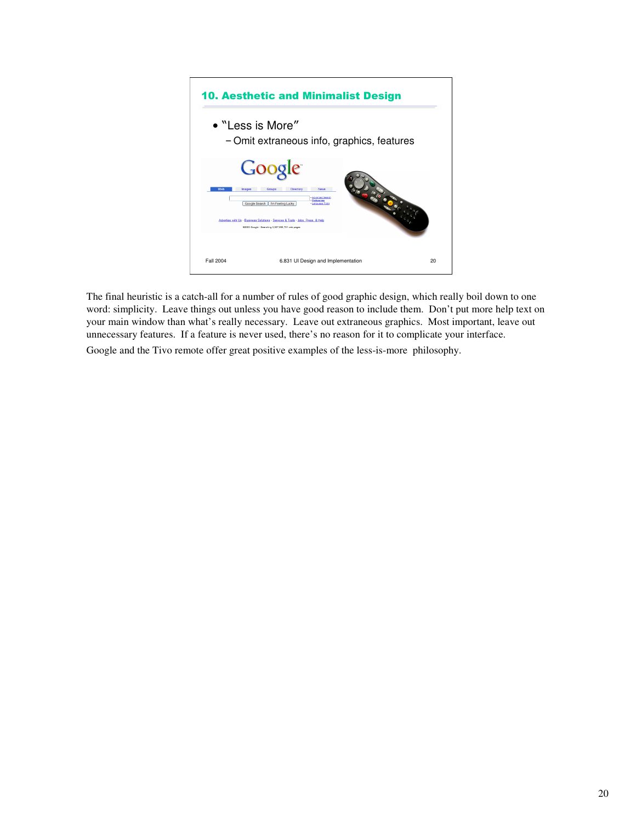

The final heuristic is a catch-all for a number of rules of good graphic design, which really boil down to one word: simplicity. Leave things out unless you have good reason to include them. Don't put more help text on your main window than what's really necessary. Leave out extraneous graphics. Most important, leave out unnecessary features. If a feature is never used, there's no reason for it to complicate your interface.

Google and the Tivo remote offer great positive examples of the less-is-more philosophy.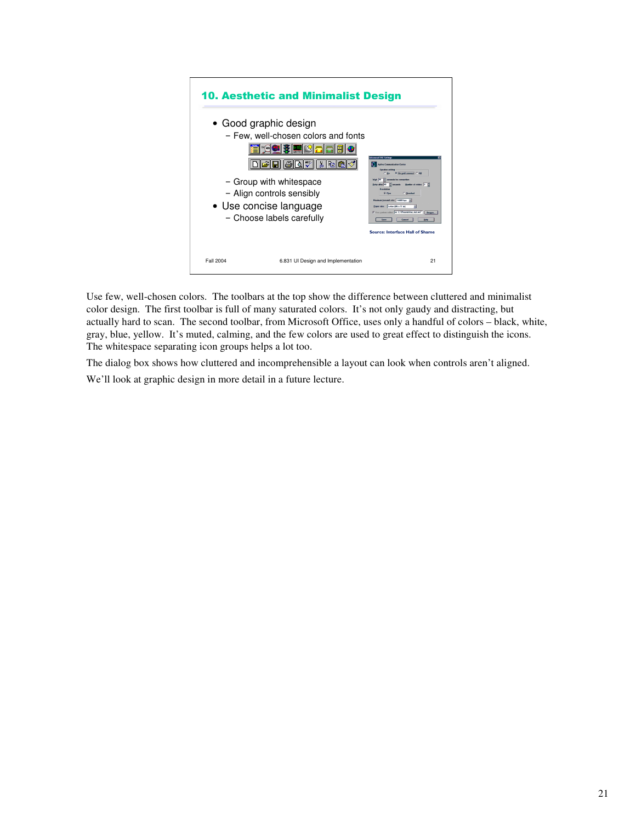

Use few, well-chosen colors. The toolbars at the top show the difference between cluttered and minimalist color design. The first toolbar is full of many saturated colors. It's not only gaudy and distracting, but actually hard to scan. The second toolbar, from Microsoft Office, uses only a handful of colors – black, white, gray, blue, yellow. It's muted, calming, and the few colors are used to great effect to distinguish the icons. The whitespace separating icon groups helps a lot too.

The dialog box shows how cluttered and incomprehensible a layout can look when controls aren't aligned. We'll look at graphic design in more detail in a future lecture.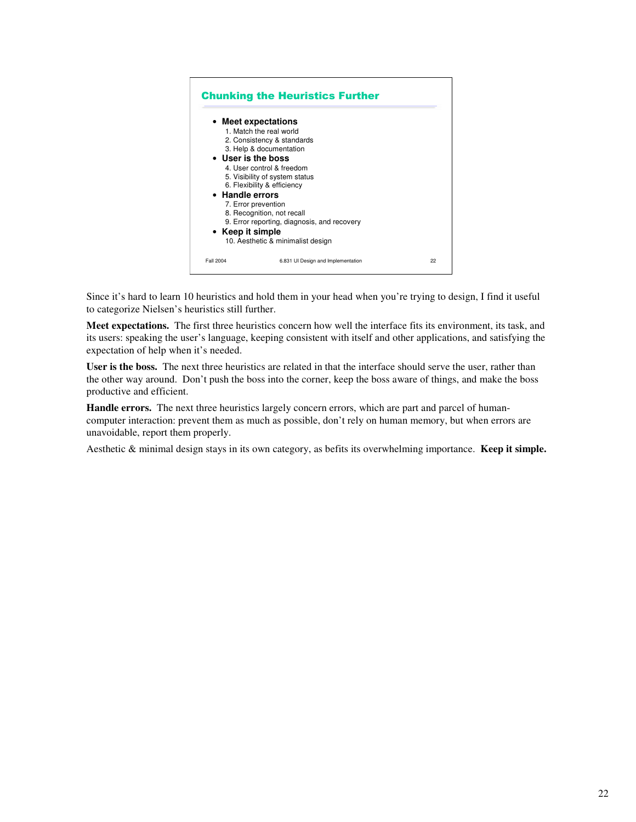

Since it's hard to learn 10 heuristics and hold them in your head when you're trying to design, I find it useful to categorize Nielsen's heuristics still further.

**Meet expectations.** The first three heuristics concern how well the interface fits its environment, its task, and its users: speaking the user's language, keeping consistent with itself and other applications, and satisfying the expectation of help when it's needed.

**User is the boss.** The next three heuristics are related in that the interface should serve the user, rather than the other way around. Don't push the boss into the corner, keep the boss aware of things, and make the boss productive and efficient.

**Handle errors.** The next three heuristics largely concern errors, which are part and parcel of humancomputer interaction: prevent them as much as possible, don't rely on human memory, but when errors are unavoidable, report them properly.

Aesthetic & minimal design stays in its own category, as befits its overwhelming importance. **Keep it simple.**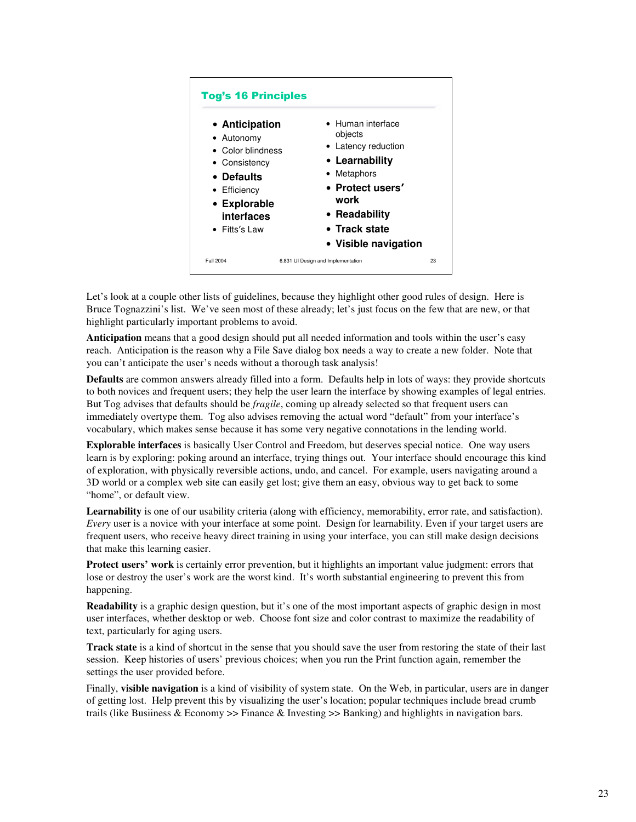

Let's look at a couple other lists of guidelines, because they highlight other good rules of design. Here is Bruce Tognazzini's list. We've seen most of these already; let's just focus on the few that are new, or that highlight particularly important problems to avoid.

**Anticipation** means that a good design should put all needed information and tools within the user's easy reach. Anticipation is the reason why a File Save dialog box needs a way to create a new folder. Note that you can't anticipate the user's needs without a thorough task analysis!

**Defaults** are common answers already filled into a form. Defaults help in lots of ways: they provide shortcuts to both novices and frequent users; they help the user learn the interface by showing examples of legal entries. But Tog advises that defaults should be *fragile*, coming up already selected so that frequent users can immediately overtype them. Tog also advises removing the actual word "default" from your interface's vocabulary, which makes sense because it has some very negative connotations in the lending world.

**Explorable interfaces** is basically User Control and Freedom, but deserves special notice. One way users learn is by exploring: poking around an interface, trying things out. Your interface should encourage this kind of exploration, with physically reversible actions, undo, and cancel. For example, users navigating around a 3D world or a complex web site can easily get lost; give them an easy, obvious way to get back to some "home", or default view.

Learnability is one of our usability criteria (along with efficiency, memorability, error rate, and satisfaction). *Every* user is a novice with your interface at some point. Design for learnability. Even if your target users are frequent users, who receive heavy direct training in using your interface, you can still make design decisions that make this learning easier.

**Protect users' work** is certainly error prevention, but it highlights an important value judgment: errors that lose or destroy the user's work are the worst kind. It's worth substantial engineering to prevent this from happening.

**Readability** is a graphic design question, but it's one of the most important aspects of graphic design in most user interfaces, whether desktop or web. Choose font size and color contrast to maximize the readability of text, particularly for aging users.

**Track state** is a kind of shortcut in the sense that you should save the user from restoring the state of their last session. Keep histories of users' previous choices; when you run the Print function again, remember the settings the user provided before.

Finally, **visible navigation** is a kind of visibility of system state. On the Web, in particular, users are in danger of getting lost. Help prevent this by visualizing the user's location; popular techniques include bread crumb trails (like Busiiness & Economy >> Finance & Investing >> Banking) and highlights in navigation bars.